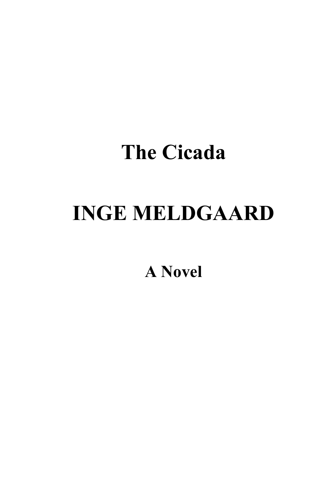# **INGE MELDGAARD**

**A Novel**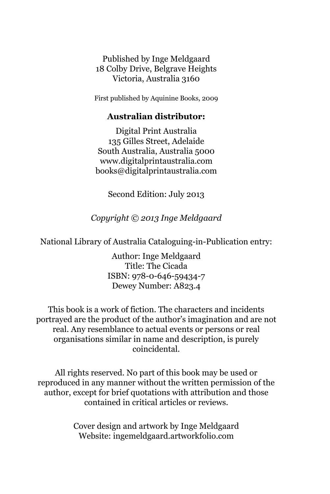Published by Inge Meldgaard 18 Colby Drive, Belgrave Heights Victoria, Australia 3160

First published by Aquinine Books, 2009

#### **Australian distributor:**

Digital Print Australia 135 Gilles Street, Adelaide South Australia, Australia 5000 www.digitalprintaustralia.com books@digitalprintaustralia.com

Second Edition: July 2013

*Copyright © 2013 Inge Meldgaard* 

National Library of Australia Cataloguing-in-Publication entry:

Author: Inge Meldgaard Title: The Cicada ISBN: 978-0-646-59434-7 Dewey Number: A823.4

This book is a work of fiction. The characters and incidents portrayed are the product of the author's imagination and are not real. Any resemblance to actual events or persons or real organisations similar in name and description, is purely coincidental.

All rights reserved. No part of this book may be used or reproduced in any manner without the written permission of the author, except for brief quotations with attribution and those contained in critical articles or reviews.

> Cover design and artwork by Inge Meldgaard Website: ingemeldgaard.artworkfolio.com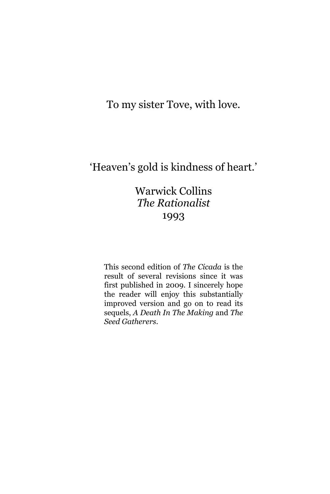To my sister Tove, with love.

### 'Heaven's gold is kindness of heart.'

### Warwick Collins *The Rationalist*  1993

This second edition of *The Cicada* is the result of several revisions since it was first published in 2009. I sincerely hope the reader will enjoy this substantially improved version and go on to read its sequels, *A Death In The Making* and *The Seed Gatherers*.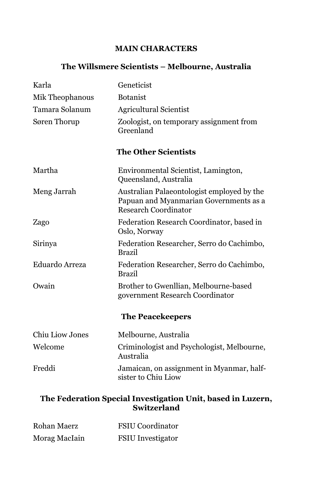#### **MAIN CHARACTERS**

#### **The Willsmere Scientists – Melbourne, Australia**

| Karla                  | Geneticist                                                                                                          |
|------------------------|---------------------------------------------------------------------------------------------------------------------|
| Mik Theophanous        | <b>Botanist</b>                                                                                                     |
| Tamara Solanum         | <b>Agricultural Scientist</b>                                                                                       |
| Søren Thorup           | Zoologist, on temporary assignment from<br>Greenland                                                                |
|                        | <b>The Other Scientists</b>                                                                                         |
| Martha                 | Environmental Scientist, Lamington,<br>Queensland, Australia                                                        |
| Meng Jarrah            | Australian Palaeontologist employed by the<br>Papuan and Myanmarian Governments as a<br><b>Research Coordinator</b> |
| Zago                   | Federation Research Coordinator, based in<br>Oslo, Norway                                                           |
| Sirinya                | Federation Researcher, Serro do Cachimbo,<br><b>Brazil</b>                                                          |
| Eduardo Arreza         | Federation Researcher, Serro do Cachimbo,<br><b>Brazil</b>                                                          |
| Owain                  | Brother to Gwenllian, Melbourne-based<br>government Research Coordinator                                            |
|                        | <b>The Peacekeepers</b>                                                                                             |
| <b>Chiu Liow Jones</b> | Melbourne, Australia                                                                                                |
| Welcome                | Criminologist and Psychologist, Melbourne,<br>Australia                                                             |
| Freddi                 | Jamaican, on assignment in Myanmar, half-<br>sister to Chiu Liow                                                    |
|                        | The Federation Special Investigation Unit, based in Luzerı                                                          |

#### **The Federation Special Investigation Unit, based in Luzern, Switzerland**

| Rohan Maerz   | <b>FSIU</b> Coordinator  |
|---------------|--------------------------|
| Morag MacIain | <b>FSIU</b> Investigator |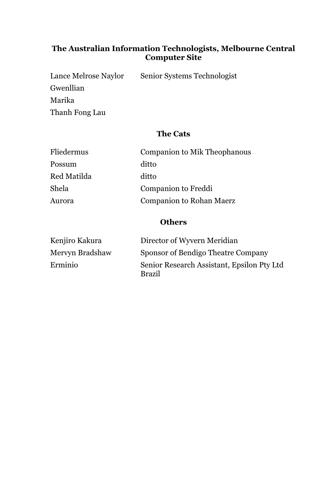#### **The Australian Information Technologists, Melbourne Central Computer Site**

Lance Melrose Naylor Senior Systems Technologist Gwenllian Marika Thanh Fong Lau

#### **The Cats**

| Fliedermus  | Companion to Mik Theophanous |
|-------------|------------------------------|
| Possum      | ditto                        |
| Red Matilda | ditto                        |
| Shela       | Companion to Freddi          |
| Aurora      | Companion to Rohan Maerz     |
|             |                              |

#### **Others**

| Kenjiro Kakura  | Director of Wyvern Meridian                                 |
|-----------------|-------------------------------------------------------------|
| Mervyn Bradshaw | Sponsor of Bendigo Theatre Company                          |
| Erminio         | Senior Research Assistant, Epsilon Pty Ltd<br><b>Brazil</b> |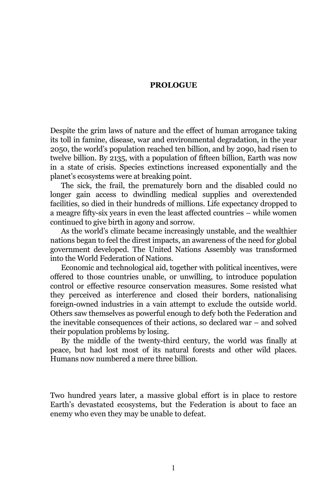#### **PROLOGUE**

Despite the grim laws of nature and the effect of human arrogance taking its toll in famine, disease, war and environmental degradation, in the year 2050, the world's population reached ten billion, and by 2090, had risen to twelve billion. By 2135, with a population of fifteen billion, Earth was now in a state of crisis. Species extinctions increased exponentially and the planet's ecosystems were at breaking point.

The sick, the frail, the prematurely born and the disabled could no longer gain access to dwindling medical supplies and overextended facilities, so died in their hundreds of millions. Life expectancy dropped to a meagre fifty-six years in even the least affected countries – while women continued to give birth in agony and sorrow.

As the world's climate became increasingly unstable, and the wealthier nations began to feel the direst impacts, an awareness of the need for global government developed. The United Nations Assembly was transformed into the World Federation of Nations.

Economic and technological aid, together with political incentives, were offered to those countries unable, or unwilling, to introduce population control or effective resource conservation measures. Some resisted what they perceived as interference and closed their borders, nationalising foreign-owned industries in a vain attempt to exclude the outside world. Others saw themselves as powerful enough to defy both the Federation and the inevitable consequences of their actions, so declared war – and solved their population problems by losing.

By the middle of the twenty-third century, the world was finally at peace, but had lost most of its natural forests and other wild places. Humans now numbered a mere three billion.

Two hundred years later, a massive global effort is in place to restore Earth's devastated ecosystems, but the Federation is about to face an enemy who even they may be unable to defeat.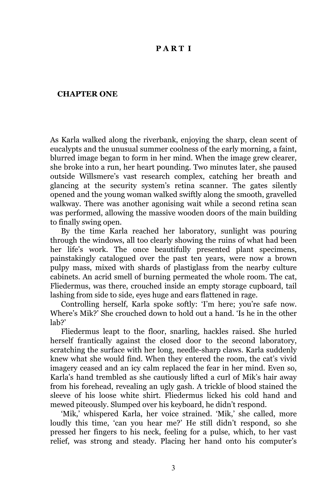#### **P A R T I**

#### **CHAPTER ONE**

As Karla walked along the riverbank, enjoying the sharp, clean scent of eucalypts and the unusual summer coolness of the early morning, a faint, blurred image began to form in her mind. When the image grew clearer, she broke into a run, her heart pounding. Two minutes later, she paused outside Willsmere's vast research complex, catching her breath and glancing at the security system's retina scanner. The gates silently opened and the young woman walked swiftly along the smooth, gravelled walkway. There was another agonising wait while a second retina scan was performed, allowing the massive wooden doors of the main building to finally swing open.

By the time Karla reached her laboratory, sunlight was pouring through the windows, all too clearly showing the ruins of what had been her life's work. The once beautifully presented plant specimens, painstakingly catalogued over the past ten years, were now a brown pulpy mass, mixed with shards of plastiglass from the nearby culture cabinets. An acrid smell of burning permeated the whole room. The cat, Fliedermus, was there, crouched inside an empty storage cupboard, tail lashing from side to side, eyes huge and ears flattened in rage.

Controlling herself, Karla spoke softly: 'I'm here; you're safe now. Where's Mik?' She crouched down to hold out a hand. 'Is he in the other lab?'

Fliedermus leapt to the floor, snarling, hackles raised. She hurled herself frantically against the closed door to the second laboratory, scratching the surface with her long, needle-sharp claws. Karla suddenly knew what she would find. When they entered the room, the cat's vivid imagery ceased and an icy calm replaced the fear in her mind. Even so, Karla's hand trembled as she cautiously lifted a curl of Mik's hair away from his forehead, revealing an ugly gash. A trickle of blood stained the sleeve of his loose white shirt. Fliedermus licked his cold hand and mewed piteously. Slumped over his keyboard, he didn't respond.

'Mik,' whispered Karla, her voice strained. 'Mik,' she called, more loudly this time, 'can you hear me?' He still didn't respond, so she pressed her fingers to his neck, feeling for a pulse, which, to her vast relief, was strong and steady. Placing her hand onto his computer's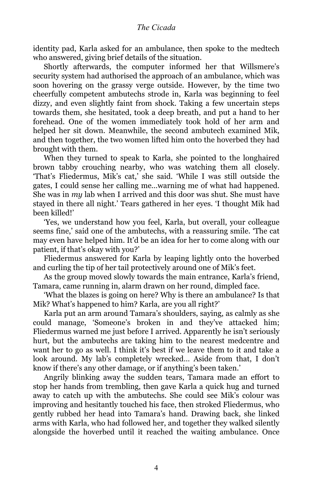identity pad, Karla asked for an ambulance, then spoke to the medtech who answered, giving brief details of the situation.

Shortly afterwards, the computer informed her that Willsmere's security system had authorised the approach of an ambulance, which was soon hovering on the grassy verge outside. However, by the time two cheerfully competent ambutechs strode in, Karla was beginning to feel dizzy, and even slightly faint from shock. Taking a few uncertain steps towards them, she hesitated, took a deep breath, and put a hand to her forehead. One of the women immediately took hold of her arm and helped her sit down. Meanwhile, the second ambutech examined Mik, and then together, the two women lifted him onto the hoverbed they had brought with them.

When they turned to speak to Karla, she pointed to the longhaired brown tabby crouching nearby, who was watching them all closely. 'That's Fliedermus, Mik's cat,' she said. 'While I was still outside the gates, I could sense her calling me…warning me of what had happened. She was in *my* lab when I arrived and this door was shut. She must have stayed in there all night.' Tears gathered in her eyes. 'I thought Mik had been killed!'

'Yes, we understand how you feel, Karla, but overall, your colleague seems fine,' said one of the ambutechs, with a reassuring smile. 'The cat may even have helped him. It'd be an idea for her to come along with our patient, if that's okay with you?'

Fliedermus answered for Karla by leaping lightly onto the hoverbed and curling the tip of her tail protectively around one of Mik's feet.

As the group moved slowly towards the main entrance, Karla's friend, Tamara, came running in, alarm drawn on her round, dimpled face.

'What the blazes is going on here? Why is there an ambulance? Is that Mik? What's happened to him? Karla, are you all right?'

Karla put an arm around Tamara's shoulders, saying, as calmly as she could manage, 'Someone's broken in and they've attacked him; Fliedermus warned me just before I arrived. Apparently he isn't seriously hurt, but the ambutechs are taking him to the nearest medcentre and want her to go as well. I think it's best if we leave them to it and take a look around. My lab's completely wrecked… Aside from that, I don't know if there's any other damage, or if anything's been taken.'

Angrily blinking away the sudden tears, Tamara made an effort to stop her hands from trembling, then gave Karla a quick hug and turned away to catch up with the ambutechs. She could see Mik's colour was improving and hesitantly touched his face, then stroked Fliedermus, who gently rubbed her head into Tamara's hand. Drawing back, she linked arms with Karla, who had followed her, and together they walked silently alongside the hoverbed until it reached the waiting ambulance. Once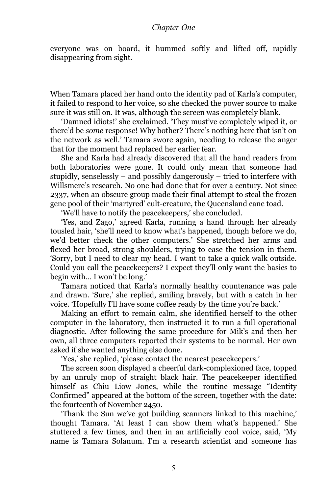everyone was on board, it hummed softly and lifted off, rapidly disappearing from sight.

When Tamara placed her hand onto the identity pad of Karla's computer, it failed to respond to her voice, so she checked the power source to make sure it was still on. It was, although the screen was completely blank.

'Damned idiots!' she exclaimed. 'They must've completely wiped it, or there'd be *some* response! Why bother? There's nothing here that isn't on the network as well.' Tamara swore again, needing to release the anger that for the moment had replaced her earlier fear.

She and Karla had already discovered that all the hand readers from both laboratories were gone. It could only mean that someone had stupidly, senselessly – and possibly dangerously – tried to interfere with Willsmere's research. No one had done that for over a century. Not since 2337, when an obscure group made their final attempt to steal the frozen gene pool of their 'martyred' cult-creature, the Queensland cane toad.

'We'll have to notify the peacekeepers,' she concluded.

'Yes, and Zago,' agreed Karla, running a hand through her already tousled hair, 'she'll need to know what's happened, though before we do, we'd better check the other computers.' She stretched her arms and flexed her broad, strong shoulders, trying to ease the tension in them. 'Sorry, but I need to clear my head. I want to take a quick walk outside. Could you call the peacekeepers? I expect they'll only want the basics to begin with… I won't be long.'

Tamara noticed that Karla's normally healthy countenance was pale and drawn. 'Sure,' she replied, smiling bravely, but with a catch in her voice. 'Hopefully I'll have some coffee ready by the time you're back.'

Making an effort to remain calm, she identified herself to the other computer in the laboratory, then instructed it to run a full operational diagnostic. After following the same procedure for Mik's and then her own, all three computers reported their systems to be normal. Her own asked if she wanted anything else done.

'Yes,' she replied, 'please contact the nearest peacekeepers.'

The screen soon displayed a cheerful dark-complexioned face, topped by an unruly mop of straight black hair. The peacekeeper identified himself as Chiu Liow Jones, while the routine message "Identity Confirmed" appeared at the bottom of the screen, together with the date: the fourteenth of November 2450.

'Thank the Sun we've got building scanners linked to this machine,' thought Tamara. 'At least I can show them what's happened.' She stuttered a few times, and then in an artificially cool voice, said, 'My name is Tamara Solanum. I'm a research scientist and someone has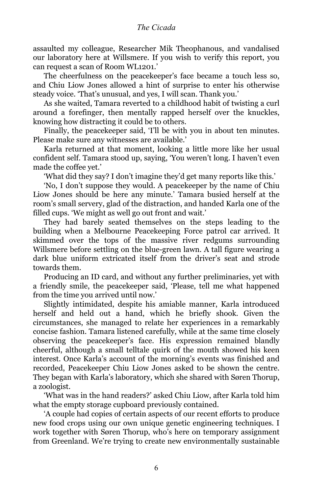assaulted my colleague, Researcher Mik Theophanous, and vandalised our laboratory here at Willsmere. If you wish to verify this report, you can request a scan of Room WL1201.'

The cheerfulness on the peacekeeper's face became a touch less so, and Chiu Liow Jones allowed a hint of surprise to enter his otherwise steady voice. 'That's unusual, and yes, I will scan. Thank you.'

As she waited, Tamara reverted to a childhood habit of twisting a curl around a forefinger, then mentally rapped herself over the knuckles, knowing how distracting it could be to others.

Finally, the peacekeeper said, 'I'll be with you in about ten minutes. Please make sure any witnesses are available.'

Karla returned at that moment, looking a little more like her usual confident self. Tamara stood up, saying, 'You weren't long. I haven't even made the coffee yet.'

'What did they say? I don't imagine they'd get many reports like this.'

'No, I don't suppose they would. A peacekeeper by the name of Chiu Liow Jones should be here any minute.' Tamara busied herself at the room's small servery, glad of the distraction, and handed Karla one of the filled cups. 'We might as well go out front and wait.'

They had barely seated themselves on the steps leading to the building when a Melbourne Peacekeeping Force patrol car arrived. It skimmed over the tops of the massive river redgums surrounding Willsmere before settling on the blue-green lawn. A tall figure wearing a dark blue uniform extricated itself from the driver's seat and strode towards them.

Producing an ID card, and without any further preliminaries, yet with a friendly smile, the peacekeeper said, 'Please, tell me what happened from the time you arrived until now.'

Slightly intimidated, despite his amiable manner, Karla introduced herself and held out a hand, which he briefly shook. Given the circumstances, she managed to relate her experiences in a remarkably concise fashion. Tamara listened carefully, while at the same time closely observing the peacekeeper's face. His expression remained blandly cheerful, although a small telltale quirk of the mouth showed his keen interest. Once Karla's account of the morning's events was finished and recorded, Peacekeeper Chiu Liow Jones asked to be shown the centre. They began with Karla's laboratory, which she shared with Søren Thorup, a zoologist.

'What was in the hand readers?' asked Chiu Liow, after Karla told him what the empty storage cupboard previously contained.

'A couple had copies of certain aspects of our recent efforts to produce new food crops using our own unique genetic engineering techniques. I work together with Søren Thorup, who's here on temporary assignment from Greenland. We're trying to create new environmentally sustainable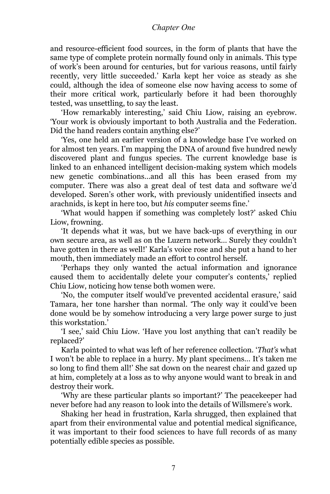and resource-efficient food sources, in the form of plants that have the same type of complete protein normally found only in animals. This type of work's been around for centuries, but for various reasons, until fairly recently, very little succeeded.' Karla kept her voice as steady as she could, although the idea of someone else now having access to some of their more critical work, particularly before it had been thoroughly tested, was unsettling, to say the least.

'How remarkably interesting,' said Chiu Liow, raising an eyebrow. 'Your work is obviously important to both Australia and the Federation. Did the hand readers contain anything else?'

'Yes, one held an earlier version of a knowledge base I've worked on for almost ten years. I'm mapping the DNA of around five hundred newly discovered plant and fungus species. The current knowledge base is linked to an enhanced intelligent decision-making system which models new genetic combinations…and all this has been erased from my computer. There was also a great deal of test data and software we'd developed. Søren's other work, with previously unidentified insects and arachnids, is kept in here too, but *his* computer seems fine.'

'What would happen if something was completely lost?' asked Chiu Liow, frowning.

'It depends what it was, but we have back-ups of everything in our own secure area, as well as on the Luzern network… Surely they couldn't have gotten in there as well!' Karla's voice rose and she put a hand to her mouth, then immediately made an effort to control herself.

'Perhaps they only wanted the actual information and ignorance caused them to accidentally delete your computer's contents,' replied Chiu Liow, noticing how tense both women were.

'No, the computer itself would've prevented accidental erasure,' said Tamara, her tone harsher than normal. 'The only way it could've been done would be by somehow introducing a very large power surge to just this workstation.'

'I see,' said Chiu Liow. 'Have you lost anything that can't readily be replaced?'

Karla pointed to what was left of her reference collection. '*That's* what I won't be able to replace in a hurry. My plant specimens… It's taken me so long to find them all!' She sat down on the nearest chair and gazed up at him, completely at a loss as to why anyone would want to break in and destroy their work.

'Why are these particular plants so important?' The peacekeeper had never before had any reason to look into the details of Willsmere's work.

Shaking her head in frustration, Karla shrugged, then explained that apart from their environmental value and potential medical significance, it was important to their food sciences to have full records of as many potentially edible species as possible.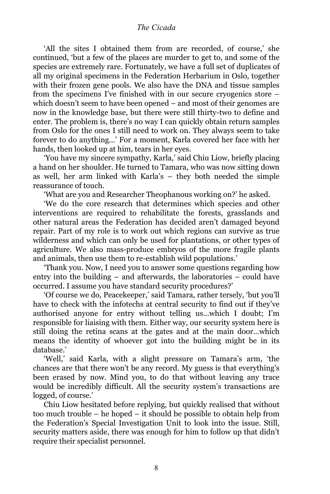'All the sites I obtained them from are recorded, of course,' she continued, 'but a few of the places are murder to get to, and some of the species are extremely rare. Fortunately, we have a full set of duplicates of all my original specimens in the Federation Herbarium in Oslo, together with their frozen gene pools. We also have the DNA and tissue samples from the specimens I've finished with in our secure cryogenics store – which doesn't seem to have been opened – and most of their genomes are now in the knowledge base, but there were still thirty-two to define and enter. The problem is, there's no way I can quickly obtain return samples from Oslo for the ones I still need to work on. They always seem to take forever to do anything…' For a moment, Karla covered her face with her hands, then looked up at him, tears in her eyes.

'You have my sincere sympathy, Karla,' said Chiu Liow, briefly placing a hand on her shoulder. He turned to Tamara, who was now sitting down as well, her arm linked with Karla's – they both needed the simple reassurance of touch.

'What are you and Researcher Theophanous working on?' he asked.

'We do the core research that determines which species and other interventions are required to rehabilitate the forests, grasslands and other natural areas the Federation has decided aren't damaged beyond repair. Part of my role is to work out which regions can survive as true wilderness and which can only be used for plantations, or other types of agriculture. We also mass-produce embryos of the more fragile plants and animals, then use them to re-establish wild populations.'

'Thank you. Now, I need you to answer some questions regarding how entry into the building – and afterwards, the laboratories – could have occurred. I assume you have standard security procedures?'

'Of course we do, Peacekeeper,' said Tamara, rather tersely, 'but you'll have to check with the infotechs at central security to find out if they've authorised anyone for entry without telling us…which I doubt; I'm responsible for liaising with them. Either way, our security system here is still doing the retina scans at the gates and at the main door…which means the identity of whoever got into the building might be in its database.'

'Well,' said Karla, with a slight pressure on Tamara's arm, 'the chances are that there won't be any record. My guess is that everything's been erased by now. Mind you, to do that without leaving any trace would be incredibly difficult. All the security system's transactions are logged, of course.'

Chiu Liow hesitated before replying, but quickly realised that without too much trouble – he hoped – it should be possible to obtain help from the Federation's Special Investigation Unit to look into the issue. Still, security matters aside, there was enough for him to follow up that didn't require their specialist personnel.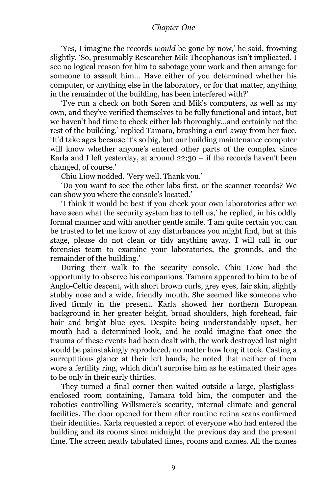'Yes, I imagine the records *would* be gone by now,' he said, frowning slightly. 'So, presumably Researcher Mik Theophanous isn't implicated. I see no logical reason for him to sabotage your work and then arrange for someone to assault him… Have either of you determined whether his computer, or anything else in the laboratory, or for that matter, anything in the remainder of the building, has been interfered with?'

'I've run a check on both Søren and Mik's computers, as well as my own, and they've verified themselves to be fully functional and intact, but we haven't had time to check either lab thoroughly…and certainly not the rest of the building,' replied Tamara, brushing a curl away from her face. 'It'd take ages because it's so big, but our building maintenance computer will know whether anyone's entered other parts of the complex since Karla and I left yesterday, at around  $22:30 - if$  the records haven't been changed, of course.'

Chiu Liow nodded. 'Very well. Thank you.'

'Do you want to see the other labs first, or the scanner records? We can show you where the console's located.'

'I think it would be best if you check your own laboratories after we have seen what the security system has to tell us,' he replied, in his oddly formal manner and with another gentle smile. 'I am quite certain you can be trusted to let me know of any disturbances you might find, but at this stage, please do not clean or tidy anything away. I will call in our forensics team to examine your laboratories, the grounds, and the remainder of the building.'

During their walk to the security console, Chiu Liow had the opportunity to observe his companions. Tamara appeared to him to be of Anglo-Celtic descent, with short brown curls, grey eyes, fair skin, slightly stubby nose and a wide, friendly mouth. She seemed like someone who lived firmly in the present. Karla showed her northern European background in her greater height, broad shoulders, high forehead, fair hair and bright blue eyes. Despite being understandably upset, her mouth had a determined look, and he could imagine that once the trauma of these events had been dealt with, the work destroyed last night would be painstakingly reproduced, no matter how long it took. Casting a surreptitious glance at their left hands, he noted that neither of them wore a fertility ring, which didn't surprise him as he estimated their ages to be only in their early thirties.

They turned a final corner then waited outside a large, plastiglassenclosed room containing, Tamara told him, the computer and the robotics controlling Willsmere's security, internal climate and general facilities. The door opened for them after routine retina scans confirmed their identities. Karla requested a report of everyone who had entered the building and its rooms since midnight the previous day and the present time. The screen neatly tabulated times, rooms and names. All the names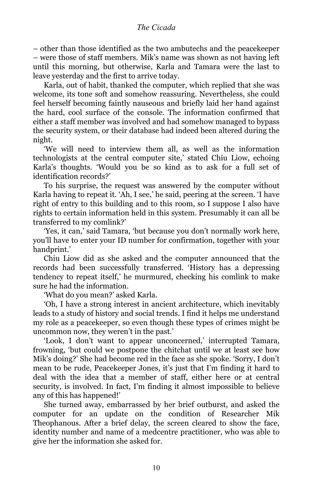– other than those identified as the two ambutechs and the peacekeeper – were those of staff members. Mik's name was shown as not having left until this morning, but otherwise, Karla and Tamara were the last to leave yesterday and the first to arrive today.

Karla, out of habit, thanked the computer, which replied that she was welcome, its tone soft and somehow reassuring. Nevertheless, she could feel herself becoming faintly nauseous and briefly laid her hand against the hard, cool surface of the console. The information confirmed that either a staff member was involved and had somehow managed to bypass the security system, or their database had indeed been altered during the night.

'We will need to interview them all, as well as the information technologists at the central computer site,' stated Chiu Liow, echoing Karla's thoughts. 'Would you be so kind as to ask for a full set of identification records?'

To his surprise, the request was answered by the computer without Karla having to repeat it. 'Ah, I see,' he said, peering at the screen. 'I have right of entry to this building and to this room, so I suppose I also have rights to certain information held in this system. Presumably it can all be transferred to my comlink?'

'Yes, it can,' said Tamara, 'but because you don't normally work here, you'll have to enter your ID number for confirmation, together with your handprint.'

Chiu Liow did as she asked and the computer announced that the records had been successfully transferred. 'History has a depressing tendency to repeat itself,' he murmured, checking his comlink to make sure he had the information.

'What do you mean?' asked Karla.

'Oh, I have a strong interest in ancient architecture, which inevitably leads to a study of history and social trends. I find it helps me understand my role as a peacekeeper, so even though these types of crimes might be uncommon now, they weren't in the past.'

'Look, I don't want to appear unconcerned,' interrupted Tamara, frowning, 'but could we postpone the chitchat until we at least see how Mik's doing?' She had become red in the face as she spoke. 'Sorry, I don't mean to be rude, Peacekeeper Jones, it's just that I'm finding it hard to deal with the idea that a member of staff, either here or at central security, is involved. In fact, I'm finding it almost impossible to believe any of this has happened!'

She turned away, embarrassed by her brief outburst, and asked the computer for an update on the condition of Researcher Mik Theophanous. After a brief delay, the screen cleared to show the face, identity number and name of a medcentre practitioner, who was able to give her the information she asked for.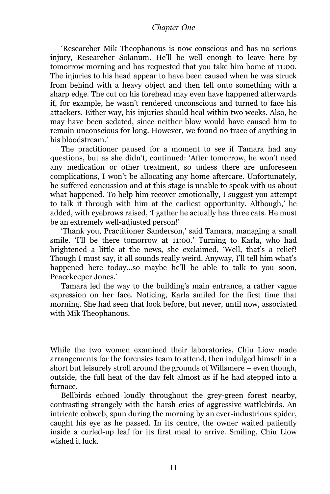'Researcher Mik Theophanous is now conscious and has no serious injury, Researcher Solanum. He'll be well enough to leave here by tomorrow morning and has requested that you take him home at 11:00. The injuries to his head appear to have been caused when he was struck from behind with a heavy object and then fell onto something with a sharp edge. The cut on his forehead may even have happened afterwards if, for example, he wasn't rendered unconscious and turned to face his attackers. Either way, his injuries should heal within two weeks. Also, he may have been sedated, since neither blow would have caused him to remain unconscious for long. However, we found no trace of anything in his bloodstream.'

The practitioner paused for a moment to see if Tamara had any questions, but as she didn't, continued: 'After tomorrow, he won't need any medication or other treatment, so unless there are unforeseen complications, I won't be allocating any home aftercare. Unfortunately, he suffered concussion and at this stage is unable to speak with us about what happened. To help him recover emotionally, I suggest you attempt to talk it through with him at the earliest opportunity. Although,' he added, with eyebrows raised, 'I gather he actually has three cats. He must be an extremely well-adjusted person!'

'Thank you, Practitioner Sanderson,' said Tamara, managing a small smile. 'I'll be there tomorrow at 11:00.' Turning to Karla, who had brightened a little at the news, she exclaimed, 'Well, that's a relief! Though I must say, it all sounds really weird. Anyway, I'll tell him what's happened here today...so maybe he'll be able to talk to you soon, Peacekeeper Jones.'

Tamara led the way to the building's main entrance, a rather vague expression on her face. Noticing, Karla smiled for the first time that morning. She had seen that look before, but never, until now, associated with Mik Theophanous.

While the two women examined their laboratories, Chiu Liow made arrangements for the forensics team to attend, then indulged himself in a short but leisurely stroll around the grounds of Willsmere – even though, outside, the full heat of the day felt almost as if he had stepped into a furnace.

Bellbirds echoed loudly throughout the grey-green forest nearby, contrasting strangely with the harsh cries of aggressive wattlebirds. An intricate cobweb, spun during the morning by an ever-industrious spider, caught his eye as he passed. In its centre, the owner waited patiently inside a curled-up leaf for its first meal to arrive. Smiling, Chiu Liow wished it luck.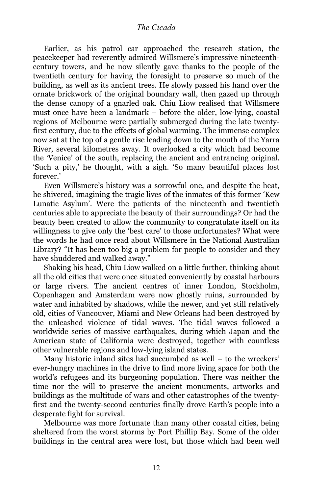Earlier, as his patrol car approached the research station, the peacekeeper had reverently admired Willsmere's impressive nineteenthcentury towers, and he now silently gave thanks to the people of the twentieth century for having the foresight to preserve so much of the building, as well as its ancient trees. He slowly passed his hand over the ornate brickwork of the original boundary wall, then gazed up through the dense canopy of a gnarled oak. Chiu Liow realised that Willsmere must once have been a landmark – before the older, low-lying, coastal regions of Melbourne were partially submerged during the late twentyfirst century, due to the effects of global warming. The immense complex now sat at the top of a gentle rise leading down to the mouth of the Yarra River, several kilometres away. It overlooked a city which had become the 'Venice' of the south, replacing the ancient and entrancing original. 'Such a pity,' he thought, with a sigh. 'So many beautiful places lost forever.'

Even Willsmere's history was a sorrowful one, and despite the heat, he shivered, imagining the tragic lives of the inmates of this former 'Kew Lunatic Asylum'. Were the patients of the nineteenth and twentieth centuries able to appreciate the beauty of their surroundings? Or had the beauty been created to allow the community to congratulate itself on its willingness to give only the 'best care' to those unfortunates? What were the words he had once read about Willsmere in the National Australian Library? "It has been too big a problem for people to consider and they have shuddered and walked away."

Shaking his head, Chiu Liow walked on a little further, thinking about all the old cities that were once situated conveniently by coastal harbours or large rivers. The ancient centres of inner London, Stockholm, Copenhagen and Amsterdam were now ghostly ruins, surrounded by water and inhabited by shadows, while the newer, and yet still relatively old, cities of Vancouver, Miami and New Orleans had been destroyed by the unleashed violence of tidal waves. The tidal waves followed a worldwide series of massive earthquakes, during which Japan and the American state of California were destroyed, together with countless other vulnerable regions and low-lying island states.

Many historic inland sites had succumbed as well – to the wreckers' ever-hungry machines in the drive to find more living space for both the world's refugees and its burgeoning population. There was neither the time nor the will to preserve the ancient monuments, artworks and buildings as the multitude of wars and other catastrophes of the twentyfirst and the twenty-second centuries finally drove Earth's people into a desperate fight for survival.

Melbourne was more fortunate than many other coastal cities, being sheltered from the worst storms by Port Phillip Bay. Some of the older buildings in the central area were lost, but those which had been well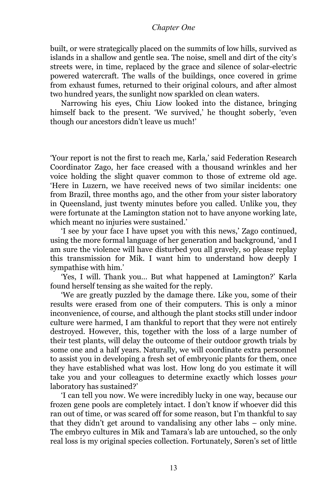built, or were strategically placed on the summits of low hills, survived as islands in a shallow and gentle sea. The noise, smell and dirt of the city's streets were, in time, replaced by the grace and silence of solar-electric powered watercraft. The walls of the buildings, once covered in grime from exhaust fumes, returned to their original colours, and after almost two hundred years, the sunlight now sparkled on clean waters.

Narrowing his eyes, Chiu Liow looked into the distance, bringing himself back to the present. 'We survived,' he thought soberly, 'even though our ancestors didn't leave us much!'

'Your report is not the first to reach me, Karla,' said Federation Research Coordinator Zago, her face creased with a thousand wrinkles and her voice holding the slight quaver common to those of extreme old age. 'Here in Luzern, we have received news of two similar incidents: one from Brazil, three months ago, and the other from your sister laboratory in Queensland, just twenty minutes before you called. Unlike you, they were fortunate at the Lamington station not to have anyone working late, which meant no injuries were sustained.'

'I see by your face I have upset you with this news,' Zago continued, using the more formal language of her generation and background, 'and I am sure the violence will have disturbed you all gravely, so please replay this transmission for Mik. I want him to understand how deeply I sympathise with him.'

'Yes, I will. Thank you… But what happened at Lamington?' Karla found herself tensing as she waited for the reply.

'We are greatly puzzled by the damage there. Like you, some of their results were erased from one of their computers. This is only a minor inconvenience, of course, and although the plant stocks still under indoor culture were harmed, I am thankful to report that they were not entirely destroyed. However, this, together with the loss of a large number of their test plants, will delay the outcome of their outdoor growth trials by some one and a half years. Naturally, we will coordinate extra personnel to assist you in developing a fresh set of embryonic plants for them, once they have established what was lost. How long do you estimate it will take you and your colleagues to determine exactly which losses *your* laboratory has sustained?'

'I can tell you now. We were incredibly lucky in one way, because our frozen gene pools are completely intact. I don't know if whoever did this ran out of time, or was scared off for some reason, but I'm thankful to say that they didn't get around to vandalising any other labs – only mine. The embryo cultures in Mik and Tamara's lab are untouched, so the only real loss is my original species collection. Fortunately, Søren's set of little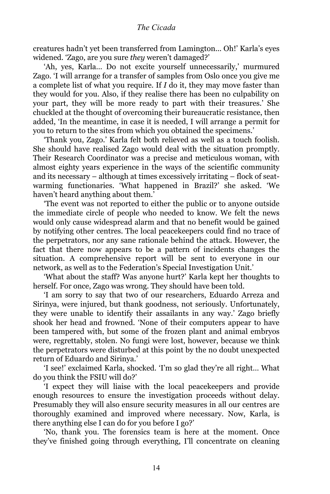creatures hadn't yet been transferred from Lamington... Oh!' Karla's eyes widened. 'Zago, are you sure *they* weren't damaged?'

'Ah, yes, Karla… Do not excite yourself unnecessarily,' murmured Zago. 'I will arrange for a transfer of samples from Oslo once you give me a complete list of what you require. If *I* do it, they may move faster than they would for you. Also, if they realise there has been no culpability on your part, they will be more ready to part with their treasures.' She chuckled at the thought of overcoming their bureaucratic resistance, then added, 'In the meantime, in case it is needed, I will arrange a permit for you to return to the sites from which you obtained the specimens.'

'Thank you, Zago.' Karla felt both relieved as well as a touch foolish. She should have realised Zago would deal with the situation promptly. Their Research Coordinator was a precise and meticulous woman, with almost eighty years experience in the ways of the scientific community and its necessary – although at times excessively irritating – flock of seatwarming functionaries. 'What happened in Brazil?' she asked. 'We haven't heard anything about them.'

'The event was not reported to either the public or to anyone outside the immediate circle of people who needed to know. We felt the news would only cause widespread alarm and that no benefit would be gained by notifying other centres. The local peacekeepers could find no trace of the perpetrators, nor any sane rationale behind the attack. However, the fact that there now appears to be a pattern of incidents changes the situation. A comprehensive report will be sent to everyone in our network, as well as to the Federation's Special Investigation Unit.'

'What about the staff? Was anyone hurt?' Karla kept her thoughts to herself. For once, Zago was wrong. They should have been told.

'I am sorry to say that two of our researchers, Eduardo Arreza and Sirinya, were injured, but thank goodness, not seriously. Unfortunately, they were unable to identify their assailants in any way.' Zago briefly shook her head and frowned. 'None of their computers appear to have been tampered with, but some of the frozen plant and animal embryos were, regrettably, stolen. No fungi were lost, however, because we think the perpetrators were disturbed at this point by the no doubt unexpected return of Eduardo and Sirinya.'

'I see!' exclaimed Karla, shocked. 'I'm so glad they're all right… What do you think the FSIU will do?'

'I expect they will liaise with the local peacekeepers and provide enough resources to ensure the investigation proceeds without delay. Presumably they will also ensure security measures in all our centres are thoroughly examined and improved where necessary. Now, Karla, is there anything else I can do for you before I go?'

'No, thank you. The forensics team is here at the moment. Once they've finished going through everything, I'll concentrate on cleaning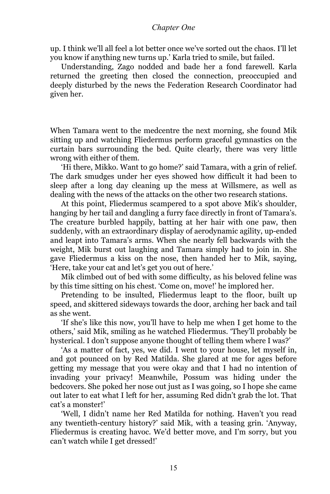up. I think we'll all feel a lot better once we've sorted out the chaos. I'll let you know if anything new turns up.' Karla tried to smile, but failed.

Understanding, Zago nodded and bade her a fond farewell. Karla returned the greeting then closed the connection, preoccupied and deeply disturbed by the news the Federation Research Coordinator had given her.

When Tamara went to the medcentre the next morning, she found Mik sitting up and watching Fliedermus perform graceful gymnastics on the curtain bars surrounding the bed. Quite clearly, there was very little wrong with either of them.

'Hi there, Mikko. Want to go home?' said Tamara, with a grin of relief. The dark smudges under her eyes showed how difficult it had been to sleep after a long day cleaning up the mess at Willsmere, as well as dealing with the news of the attacks on the other two research stations.

At this point, Fliedermus scampered to a spot above Mik's shoulder, hanging by her tail and dangling a furry face directly in front of Tamara's. The creature burbled happily, batting at her hair with one paw, then suddenly, with an extraordinary display of aerodynamic agility, up-ended and leapt into Tamara's arms. When she nearly fell backwards with the weight, Mik burst out laughing and Tamara simply had to join in. She gave Fliedermus a kiss on the nose, then handed her to Mik, saying, 'Here, take your cat and let's get you out of here.'

Mik climbed out of bed with some difficulty, as his beloved feline was by this time sitting on his chest. 'Come on, move!' he implored her.

Pretending to be insulted, Fliedermus leapt to the floor, built up speed, and skittered sideways towards the door, arching her back and tail as she went.

'If she's like this now, you'll have to help me when I get home to the others,' said Mik, smiling as he watched Fliedermus. 'They'll probably be hysterical. I don't suppose anyone thought of telling them where I was?'

'As a matter of fact, yes, we did. I went to your house, let myself in, and got pounced on by Red Matilda. She glared at me for ages before getting my message that you were okay and that I had no intention of invading your privacy! Meanwhile, Possum was hiding under the bedcovers. She poked her nose out just as I was going, so I hope she came out later to eat what I left for her, assuming Red didn't grab the lot. That cat's a monster!'

'Well, I didn't name her Red Matilda for nothing. Haven't you read any twentieth-century history?' said Mik, with a teasing grin. 'Anyway, Fliedermus is creating havoc. We'd better move, and I'm sorry, but you can't watch while I get dressed!'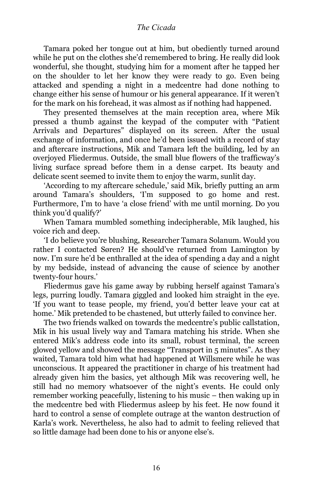Tamara poked her tongue out at him, but obediently turned around while he put on the clothes she'd remembered to bring. He really did look wonderful, she thought, studying him for a moment after he tapped her on the shoulder to let her know they were ready to go. Even being attacked and spending a night in a medcentre had done nothing to change either his sense of humour or his general appearance. If it weren't for the mark on his forehead, it was almost as if nothing had happened.

They presented themselves at the main reception area, where Mik pressed a thumb against the keypad of the computer with "Patient Arrivals and Departures" displayed on its screen. After the usual exchange of information, and once he'd been issued with a record of stay and aftercare instructions, Mik and Tamara left the building, led by an overjoyed Fliedermus. Outside, the small blue flowers of the trafficway's living surface spread before them in a dense carpet. Its beauty and delicate scent seemed to invite them to enjoy the warm, sunlit day.

'According to my aftercare schedule,' said Mik, briefly putting an arm around Tamara's shoulders, 'I'm supposed to go home and rest. Furthermore, I'm to have 'a close friend' with me until morning. Do you think you'd qualify?'

When Tamara mumbled something indecipherable, Mik laughed, his voice rich and deep.

'I do believe you're blushing, Researcher Tamara Solanum. Would you rather I contacted Søren? He should've returned from Lamington by now. I'm sure he'd be enthralled at the idea of spending a day and a night by my bedside, instead of advancing the cause of science by another twenty-four hours.'

Fliedermus gave his game away by rubbing herself against Tamara's legs, purring loudly. Tamara giggled and looked him straight in the eye. 'If you want to tease people, my friend, you'd better leave your cat at home.' Mik pretended to be chastened, but utterly failed to convince her.

The two friends walked on towards the medcentre's public callstation, Mik in his usual lively way and Tamara matching his stride. When she entered Mik's address code into its small, robust terminal, the screen glowed yellow and showed the message "Transport in 5 minutes". As they waited, Tamara told him what had happened at Willsmere while he was unconscious. It appeared the practitioner in charge of his treatment had already given him the basics, yet although Mik was recovering well, he still had no memory whatsoever of the night's events. He could only remember working peacefully, listening to his music – then waking up in the medcentre bed with Fliedermus asleep by his feet. He now found it hard to control a sense of complete outrage at the wanton destruction of Karla's work. Nevertheless, he also had to admit to feeling relieved that so little damage had been done to his or anyone else's.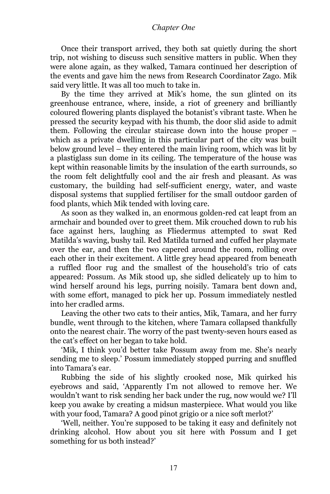Once their transport arrived, they both sat quietly during the short trip, not wishing to discuss such sensitive matters in public. When they were alone again, as they walked, Tamara continued her description of the events and gave him the news from Research Coordinator Zago. Mik said very little. It was all too much to take in.

By the time they arrived at Mik's home, the sun glinted on its greenhouse entrance, where, inside, a riot of greenery and brilliantly coloured flowering plants displayed the botanist's vibrant taste. When he pressed the security keypad with his thumb, the door slid aside to admit them. Following the circular staircase down into the house proper – which as a private dwelling in this particular part of the city was built below ground level – they entered the main living room, which was lit by a plastiglass sun dome in its ceiling. The temperature of the house was kept within reasonable limits by the insulation of the earth surrounds, so the room felt delightfully cool and the air fresh and pleasant. As was customary, the building had self-sufficient energy, water, and waste disposal systems that supplied fertiliser for the small outdoor garden of food plants, which Mik tended with loving care.

As soon as they walked in, an enormous golden-red cat leapt from an armchair and bounded over to greet them. Mik crouched down to rub his face against hers, laughing as Fliedermus attempted to swat Red Matilda's waving, bushy tail. Red Matilda turned and cuffed her playmate over the ear, and then the two capered around the room, rolling over each other in their excitement. A little grey head appeared from beneath a ruffled floor rug and the smallest of the household's trio of cats appeared: Possum. As Mik stood up, she sidled delicately up to him to wind herself around his legs, purring noisily. Tamara bent down and, with some effort, managed to pick her up. Possum immediately nestled into her cradled arms.

Leaving the other two cats to their antics, Mik, Tamara, and her furry bundle, went through to the kitchen, where Tamara collapsed thankfully onto the nearest chair. The worry of the past twenty-seven hours eased as the cat's effect on her began to take hold.

'Mik, I think you'd better take Possum away from me. She's nearly sending me to sleep.' Possum immediately stopped purring and snuffled into Tamara's ear.

Rubbing the side of his slightly crooked nose, Mik quirked his eyebrows and said, 'Apparently I'm not allowed to remove her. We wouldn't want to risk sending her back under the rug, now would we? I'll keep you awake by creating a midsun masterpiece. What would you like with your food, Tamara? A good pinot grigio or a nice soft merlot?'

'Well, neither. You're supposed to be taking it easy and definitely not drinking alcohol. How about you sit here with Possum and I get something for us both instead?'